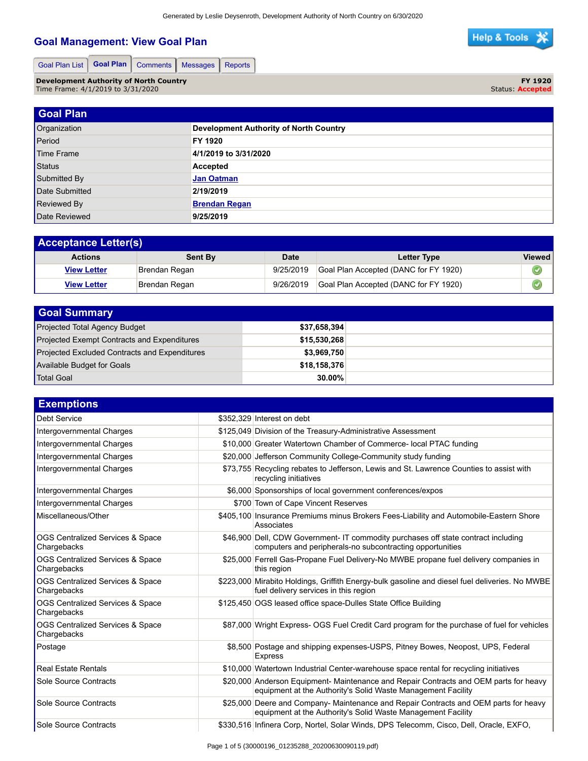## **Goal Management: View Goal Plan**



Goal Plan List | Goal Plan | Comments | Messages | Reports

**Development Authority of North Country** Time Frame: 4/1/2019 to 3/31/2020

**FY 1920** Status: **Accepted**

| <b>Goal Plan</b>   |                                               |
|--------------------|-----------------------------------------------|
| Organization       | <b>Development Authority of North Country</b> |
| Period             | FY 1920                                       |
| Time Frame         | 4/1/2019 to 3/31/2020                         |
| Status             | Accepted                                      |
| Submitted By       | <b>Jan Oatman</b>                             |
| Date Submitted     | 2/19/2019                                     |
| <b>Reviewed By</b> | <b>Brendan Regan</b>                          |
| Date Reviewed      | 9/25/2019                                     |

| <b>Acceptance Letter(s)</b> |               |           |                                       |               |  |
|-----------------------------|---------------|-----------|---------------------------------------|---------------|--|
| <b>Actions</b>              | Sent By       | Date      | Letter Type                           | <b>Viewed</b> |  |
| <b>View Letter</b>          | Brendan Regan | 9/25/2019 | Goal Plan Accepted (DANC for FY 1920) | ⋓             |  |
| <b>View Letter</b>          | Brendan Regan | 9/26/2019 | Goal Plan Accepted (DANC for FY 1920) | ಀ             |  |

| <b>Goal Summary</b>                                  |              |  |
|------------------------------------------------------|--------------|--|
| Projected Total Agency Budget                        | \$37,658,394 |  |
| <b>Projected Exempt Contracts and Expenditures</b>   | \$15.530.268 |  |
| <b>Projected Excluded Contracts and Expenditures</b> | \$3,969,750  |  |
| Available Budget for Goals                           | \$18,158,376 |  |
| Total Goal                                           | 30.00%       |  |

| <b>Exemptions</b>                               |                                                                                                                                                       |
|-------------------------------------------------|-------------------------------------------------------------------------------------------------------------------------------------------------------|
| <b>Debt Service</b>                             | \$352.329 Interest on debt                                                                                                                            |
| Intergovernmental Charges                       | \$125,049 Division of the Treasury-Administrative Assessment                                                                                          |
| Intergovernmental Charges                       | \$10,000 Greater Watertown Chamber of Commerce- local PTAC funding                                                                                    |
| Intergovernmental Charges                       | \$20,000 Jefferson Community College-Community study funding                                                                                          |
| Intergovernmental Charges                       | \$73,755 Recycling rebates to Jefferson, Lewis and St. Lawrence Counties to assist with<br>recycling initiatives                                      |
| Intergovernmental Charges                       | \$6,000 Sponsorships of local government conferences/expos                                                                                            |
| Intergovernmental Charges                       | \$700 Town of Cape Vincent Reserves                                                                                                                   |
| Miscellaneous/Other                             | \$405,100 Insurance Premiums minus Brokers Fees-Liability and Automobile-Eastern Shore<br>Associates                                                  |
| OGS Centralized Services & Space<br>Chargebacks | \$46,900 Dell, CDW Government- IT commodity purchases off state contract including<br>computers and peripherals-no subcontracting opportunities       |
| OGS Centralized Services & Space<br>Chargebacks | \$25,000 Ferrell Gas-Propane Fuel Delivery-No MWBE propane fuel delivery companies in<br>this region                                                  |
| OGS Centralized Services & Space<br>Chargebacks | \$223,000 Mirabito Holdings, Griffith Energy-bulk gasoline and diesel fuel deliveries. No MWBE<br>fuel delivery services in this region               |
| OGS Centralized Services & Space<br>Chargebacks | \$125,450 OGS leased office space-Dulles State Office Building                                                                                        |
| OGS Centralized Services & Space<br>Chargebacks | \$87,000 Wright Express- OGS Fuel Credit Card program for the purchase of fuel for vehicles                                                           |
| Postage                                         | \$8,500 Postage and shipping expenses-USPS, Pitney Bowes, Neopost, UPS, Federal<br><b>Express</b>                                                     |
| <b>Real Estate Rentals</b>                      | \$10,000 Watertown Industrial Center-warehouse space rental for recycling initiatives                                                                 |
| Sole Source Contracts                           | \$20,000 Anderson Equipment- Maintenance and Repair Contracts and OEM parts for heavy<br>equipment at the Authority's Solid Waste Management Facility |
| Sole Source Contracts                           | \$25,000 Deere and Company- Maintenance and Repair Contracts and OEM parts for heavy<br>equipment at the Authority's Solid Waste Management Facility  |
| Sole Source Contracts                           | \$330,516 Infinera Corp, Nortel, Solar Winds, DPS Telecomm, Cisco, Dell, Oracle, EXFO,                                                                |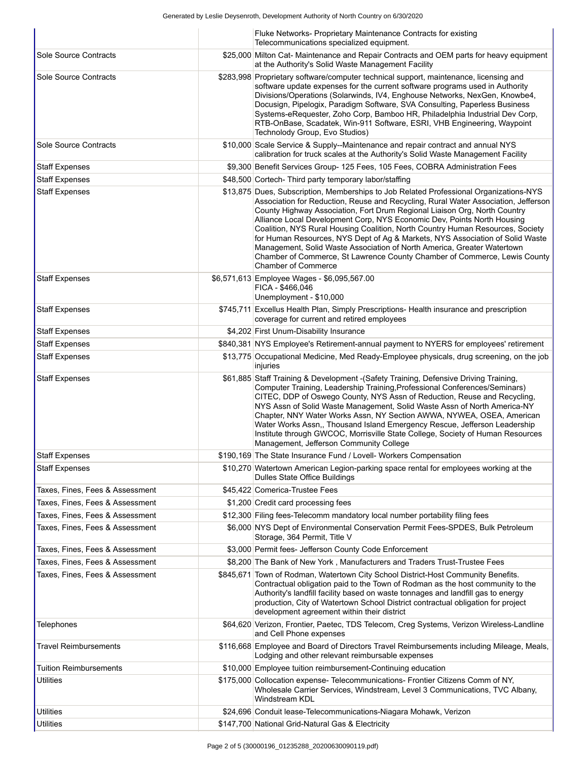|                                 | Fluke Networks- Proprietary Maintenance Contracts for existing<br>Telecommunications specialized equipment.                                                                                                                                                                                                                                                                                                                                                                                                                                                                                                                                                                                   |
|---------------------------------|-----------------------------------------------------------------------------------------------------------------------------------------------------------------------------------------------------------------------------------------------------------------------------------------------------------------------------------------------------------------------------------------------------------------------------------------------------------------------------------------------------------------------------------------------------------------------------------------------------------------------------------------------------------------------------------------------|
| Sole Source Contracts           | \$25,000 Milton Cat- Maintenance and Repair Contracts and OEM parts for heavy equipment<br>at the Authority's Solid Waste Management Facility                                                                                                                                                                                                                                                                                                                                                                                                                                                                                                                                                 |
| Sole Source Contracts           | \$283,998 Proprietary software/computer technical support, maintenance, licensing and<br>software update expenses for the current software programs used in Authority<br>Divisions/Operations (Solarwinds, IV4, Enghouse Networks, NexGen, Knowbe4,<br>Docusign, Pipelogix, Paradigm Software, SVA Consulting, Paperless Business<br>Systems-eRequester, Zoho Corp, Bamboo HR, Philadelphia Industrial Dev Corp,<br>RTB-OnBase, Scadatek, Win-911 Software, ESRI, VHB Engineering, Waypoint<br>Technolody Group, Evo Studios)                                                                                                                                                                 |
| Sole Source Contracts           | \$10,000 Scale Service & Supply--Maintenance and repair contract and annual NYS<br>calibration for truck scales at the Authority's Solid Waste Management Facility                                                                                                                                                                                                                                                                                                                                                                                                                                                                                                                            |
| <b>Staff Expenses</b>           | \$9,300 Benefit Services Group- 125 Fees, 105 Fees, COBRA Administration Fees                                                                                                                                                                                                                                                                                                                                                                                                                                                                                                                                                                                                                 |
| <b>Staff Expenses</b>           | \$48,500 Cortech- Third party temporary labor/staffing                                                                                                                                                                                                                                                                                                                                                                                                                                                                                                                                                                                                                                        |
| <b>Staff Expenses</b>           | \$13,875 Dues, Subscription, Memberships to Job Related Professional Organizations-NYS<br>Association for Reduction, Reuse and Recycling, Rural Water Association, Jefferson<br>County Highway Association, Fort Drum Regional Liaison Org, North Country<br>Alliance Local Development Corp, NYS Economic Dev, Points North Housing<br>Coalition, NYS Rural Housing Coalition, North Country Human Resources, Society<br>for Human Resources, NYS Dept of Ag & Markets, NYS Association of Solid Waste<br>Management, Solid Waste Association of North America, Greater Watertown<br>Chamber of Commerce, St Lawrence County Chamber of Commerce, Lewis County<br><b>Chamber of Commerce</b> |
| <b>Staff Expenses</b>           | \$6,571,613 Employee Wages - \$6,095,567.00<br>FICA - \$466.046<br>Unemployment - \$10,000                                                                                                                                                                                                                                                                                                                                                                                                                                                                                                                                                                                                    |
| Staff Expenses                  | \$745,711 Excellus Health Plan, Simply Prescriptions- Health insurance and prescription<br>coverage for current and retired employees                                                                                                                                                                                                                                                                                                                                                                                                                                                                                                                                                         |
| <b>Staff Expenses</b>           | \$4,202 First Unum-Disability Insurance                                                                                                                                                                                                                                                                                                                                                                                                                                                                                                                                                                                                                                                       |
| <b>Staff Expenses</b>           | \$840,381 NYS Employee's Retirement-annual payment to NYERS for employees' retirement                                                                                                                                                                                                                                                                                                                                                                                                                                                                                                                                                                                                         |
| <b>Staff Expenses</b>           | \$13,775 Occupational Medicine, Med Ready-Employee physicals, drug screening, on the job<br>injuries                                                                                                                                                                                                                                                                                                                                                                                                                                                                                                                                                                                          |
| Staff Expenses                  | \$61,885 Staff Training & Development - (Safety Training, Defensive Driving Training,<br>Computer Training, Leadership Training, Professional Conferences/Seminars)<br>CITEC, DDP of Oswego County, NYS Assn of Reduction, Reuse and Recycling,<br>NYS Assn of Solid Waste Management, Solid Waste Assn of North America-NY<br>Chapter, NNY Water Works Assn, NY Section AWWA, NYWEA, OSEA, American<br>Water Works Assn,, Thousand Island Emergency Rescue, Jefferson Leadership<br>Institute through GWCOC, Morrisville State College, Society of Human Resources<br>Management, Jefferson Community College                                                                                |
| <b>Staff Expenses</b>           | \$190,169 The State Insurance Fund / Lovell- Workers Compensation                                                                                                                                                                                                                                                                                                                                                                                                                                                                                                                                                                                                                             |
| <b>Staff Expenses</b>           | \$10,270 Watertown American Legion-parking space rental for employees working at the<br>Dulles State Office Buildings                                                                                                                                                                                                                                                                                                                                                                                                                                                                                                                                                                         |
| Taxes, Fines, Fees & Assessment | \$45,422 Comerica-Trustee Fees                                                                                                                                                                                                                                                                                                                                                                                                                                                                                                                                                                                                                                                                |
| Taxes, Fines, Fees & Assessment | \$1,200 Credit card processing fees                                                                                                                                                                                                                                                                                                                                                                                                                                                                                                                                                                                                                                                           |
| Taxes, Fines, Fees & Assessment | \$12,300 Filing fees-Telecomm mandatory local number portability filing fees                                                                                                                                                                                                                                                                                                                                                                                                                                                                                                                                                                                                                  |
| Taxes, Fines, Fees & Assessment | \$6,000 NYS Dept of Environmental Conservation Permit Fees-SPDES, Bulk Petroleum<br>Storage, 364 Permit, Title V                                                                                                                                                                                                                                                                                                                                                                                                                                                                                                                                                                              |
| Taxes, Fines, Fees & Assessment | \$3,000 Permit fees- Jefferson County Code Enforcement                                                                                                                                                                                                                                                                                                                                                                                                                                                                                                                                                                                                                                        |
| Taxes, Fines, Fees & Assessment | \$8,200 The Bank of New York, Manufacturers and Traders Trust-Trustee Fees                                                                                                                                                                                                                                                                                                                                                                                                                                                                                                                                                                                                                    |
| Taxes, Fines, Fees & Assessment | \$845,671 Town of Rodman, Watertown City School District-Host Community Benefits.<br>Contractual obligation paid to the Town of Rodman as the host community to the<br>Authority's landfill facility based on waste tonnages and landfill gas to energy<br>production, City of Watertown School District contractual obligation for project<br>development agreement within their district                                                                                                                                                                                                                                                                                                    |
| <b>Telephones</b>               | \$64,620 Verizon, Frontier, Paetec, TDS Telecom, Creg Systems, Verizon Wireless-Landline<br>and Cell Phone expenses                                                                                                                                                                                                                                                                                                                                                                                                                                                                                                                                                                           |
| Travel Reimbursements           | \$116,668 Employee and Board of Directors Travel Reimbursements including Mileage, Meals,<br>Lodging and other relevant reimbursable expenses                                                                                                                                                                                                                                                                                                                                                                                                                                                                                                                                                 |
| <b>Tuition Reimbursements</b>   | \$10,000 Employee tuition reimbursement-Continuing education                                                                                                                                                                                                                                                                                                                                                                                                                                                                                                                                                                                                                                  |
| Utilities                       | \$175,000 Collocation expense- Telecommunications- Frontier Citizens Comm of NY,<br>Wholesale Carrier Services, Windstream, Level 3 Communications, TVC Albany,<br>Windstream KDL                                                                                                                                                                                                                                                                                                                                                                                                                                                                                                             |
| Utilities                       | \$24,696 Conduit lease-Telecommunications-Niagara Mohawk, Verizon                                                                                                                                                                                                                                                                                                                                                                                                                                                                                                                                                                                                                             |
| <b>Utilities</b>                | \$147,700 National Grid-Natural Gas & Electricity                                                                                                                                                                                                                                                                                                                                                                                                                                                                                                                                                                                                                                             |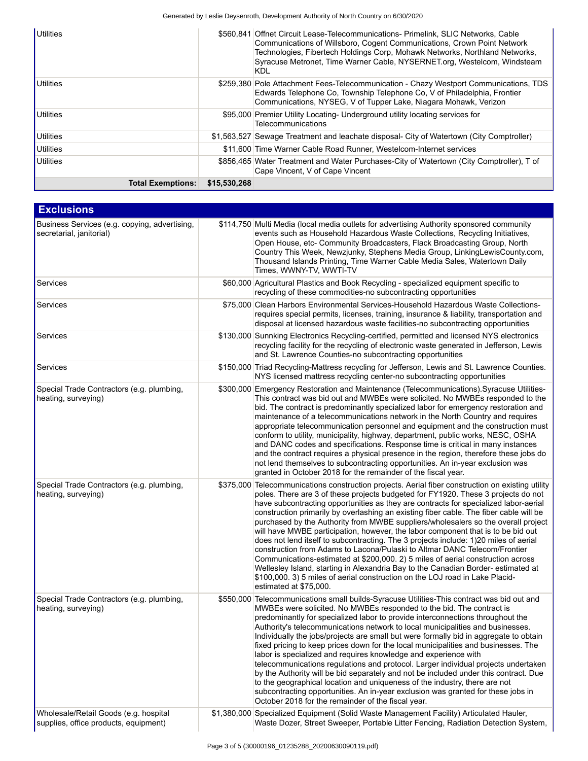| <b>Utilities</b>         |              | \$560,841 Offnet Circuit Lease-Telecommunications- Primelink, SLIC Networks, Cable<br>Communications of Willsboro, Cogent Communications, Crown Point Network<br>Technologies, Fibertech Holdings Corp, Mohawk Networks, Northland Networks,<br>Syracuse Metronet, Time Warner Cable, NYSERNET.org, Westelcom, Windsteam<br>KDL |
|--------------------------|--------------|---------------------------------------------------------------------------------------------------------------------------------------------------------------------------------------------------------------------------------------------------------------------------------------------------------------------------------|
| <b>Utilities</b>         |              | \$259,380 Pole Attachment Fees-Telecommunication - Chazy Westport Communications, TDS<br>Edwards Telephone Co, Township Telephone Co, V of Philadelphia, Frontier<br>Communications, NYSEG, V of Tupper Lake, Niagara Mohawk, Verizon                                                                                           |
| Utilities                |              | \$95,000 Premier Utility Locating- Underground utility locating services for<br>Telecommunications                                                                                                                                                                                                                              |
| Utilities                |              | \$1,563,527 Sewage Treatment and leachate disposal- City of Watertown (City Comptroller)                                                                                                                                                                                                                                        |
| Utilities                |              | \$11,600 Time Warner Cable Road Runner, Westelcom-Internet services                                                                                                                                                                                                                                                             |
| <b>Utilities</b>         |              | \$856,465 Water Treatment and Water Purchases-City of Watertown (City Comptroller), T of<br>Cape Vincent, V of Cape Vincent                                                                                                                                                                                                     |
| <b>Total Exemptions:</b> | \$15,530,268 |                                                                                                                                                                                                                                                                                                                                 |

| <b>Exclusions</b>                                                              |                                                                                                                                                                                                                                                                                                                                                                                                                                                                                                                                                                                                                                                                                                                                                                                                                                                                                                                                                                                                         |
|--------------------------------------------------------------------------------|---------------------------------------------------------------------------------------------------------------------------------------------------------------------------------------------------------------------------------------------------------------------------------------------------------------------------------------------------------------------------------------------------------------------------------------------------------------------------------------------------------------------------------------------------------------------------------------------------------------------------------------------------------------------------------------------------------------------------------------------------------------------------------------------------------------------------------------------------------------------------------------------------------------------------------------------------------------------------------------------------------|
| Business Services (e.g. copying, advertising,<br>secretarial, janitorial)      | \$114,750 Multi Media (local media outlets for advertising Authority sponsored community<br>events such as Household Hazardous Waste Collections, Recycling Initiatives,<br>Open House, etc- Community Broadcasters, Flack Broadcasting Group, North<br>Country This Week, Newzjunky, Stephens Media Group, LinkingLewisCounty.com,<br>Thousand Islands Printing, Time Warner Cable Media Sales, Watertown Daily<br>Times, WWNY-TV, WWTI-TV                                                                                                                                                                                                                                                                                                                                                                                                                                                                                                                                                             |
| Services                                                                       | \$60,000 Agricultural Plastics and Book Recycling - specialized equipment specific to<br>recycling of these commodities-no subcontracting opportunities                                                                                                                                                                                                                                                                                                                                                                                                                                                                                                                                                                                                                                                                                                                                                                                                                                                 |
| Services                                                                       | \$75,000 Clean Harbors Environmental Services-Household Hazardous Waste Collections-<br>requires special permits, licenses, training, insurance & liability, transportation and<br>disposal at licensed hazardous waste facilities-no subcontracting opportunities                                                                                                                                                                                                                                                                                                                                                                                                                                                                                                                                                                                                                                                                                                                                      |
| Services                                                                       | \$130,000 Sunnking Electronics Recycling-certified, permitted and licensed NYS electronics<br>recycling facility for the recycling of electronic waste generated in Jefferson, Lewis<br>and St. Lawrence Counties-no subcontracting opportunities                                                                                                                                                                                                                                                                                                                                                                                                                                                                                                                                                                                                                                                                                                                                                       |
| Services                                                                       | \$150,000 Triad Recycling-Mattress recycling for Jefferson, Lewis and St. Lawrence Counties.<br>NYS licensed mattress recycling center-no subcontracting opportunities                                                                                                                                                                                                                                                                                                                                                                                                                                                                                                                                                                                                                                                                                                                                                                                                                                  |
| Special Trade Contractors (e.g. plumbing,<br>heating, surveying)               | \$300,000 Emergency Restoration and Maintenance (Telecommunications). Syracuse Utilities-<br>This contract was bid out and MWBEs were solicited. No MWBEs responded to the<br>bid. The contract is predominantly specialized labor for emergency restoration and<br>maintenance of a telecommunications network in the North Country and requires<br>appropriate telecommunication personnel and equipment and the construction must<br>conform to utility, municipality, highway, department, public works, NESC, OSHA<br>and DANC codes and specifications. Response time is critical in many instances<br>and the contract requires a physical presence in the region, therefore these jobs do<br>not lend themselves to subcontracting opportunities. An in-year exclusion was<br>granted in October 2018 for the remainder of the fiscal year.                                                                                                                                                     |
| Special Trade Contractors (e.g. plumbing,<br>heating, surveying)               | \$375,000 Telecommunications construction projects. Aerial fiber construction on existing utility<br>poles. There are 3 of these projects budgeted for FY1920. These 3 projects do not<br>have subcontracting opportunities as they are contracts for specialized labor-aerial<br>construction primarily by overlashing an existing fiber cable. The fiber cable will be<br>purchased by the Authority from MWBE suppliers/wholesalers so the overall project<br>will have MWBE participation, however, the labor component that is to be bid out<br>does not lend itself to subcontracting. The 3 projects include: 1)20 miles of aerial<br>construction from Adams to Lacona/Pulaski to Altmar DANC Telecom/Frontier<br>Communications-estimated at \$200,000. 2) 5 miles of aerial construction across<br>Wellesley Island, starting in Alexandria Bay to the Canadian Border-estimated at<br>\$100,000. 3) 5 miles of aerial construction on the LOJ road in Lake Placid-<br>estimated at \$75,000. |
| Special Trade Contractors (e.g. plumbing,<br>heating, surveying)               | \$550,000 Telecommunications small builds-Syracuse Utilities-This contract was bid out and<br>MWBEs were solicited. No MWBEs responded to the bid. The contract is<br>predominantly for specialized labor to provide interconnections throughout the<br>Authority's telecommunications network to local municipalities and businesses.<br>Individually the jobs/projects are small but were formally bid in aggregate to obtain<br>fixed pricing to keep prices down for the local municipalities and businesses. The<br>labor is specialized and requires knowledge and experience with<br>telecommunications regulations and protocol. Larger individual projects undertaken<br>by the Authority will be bid separately and not be included under this contract. Due<br>to the geographical location and uniqueness of the industry, there are not<br>subcontracting opportunities. An in-year exclusion was granted for these jobs in<br>October 2018 for the remainder of the fiscal year.          |
| Wholesale/Retail Goods (e.g. hospital<br>supplies, office products, equipment) | \$1,380,000 Specialized Equipment (Solid Waste Management Facility) Articulated Hauler,<br>Waste Dozer, Street Sweeper, Portable Litter Fencing, Radiation Detection System,                                                                                                                                                                                                                                                                                                                                                                                                                                                                                                                                                                                                                                                                                                                                                                                                                            |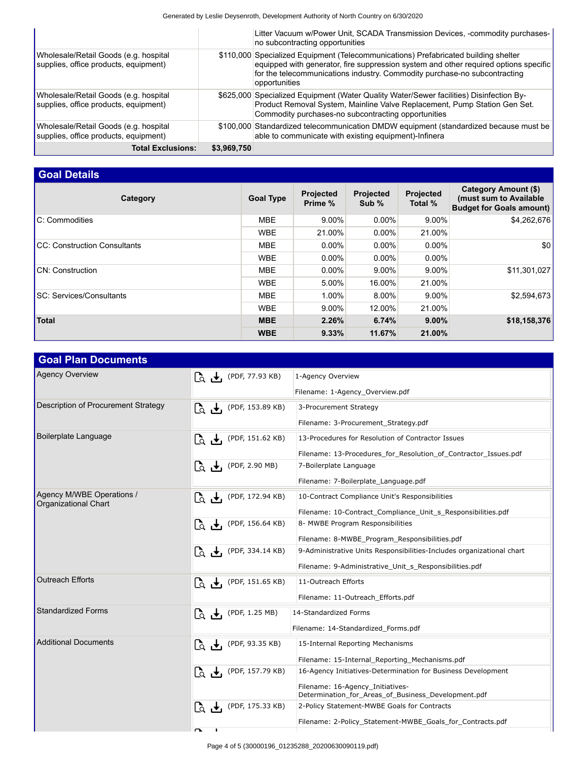|                                                                                |             | Litter Vacuum w/Power Unit, SCADA Transmission Devices, -commodity purchases-<br>no subcontracting opportunities                                                                                                                                                          |
|--------------------------------------------------------------------------------|-------------|---------------------------------------------------------------------------------------------------------------------------------------------------------------------------------------------------------------------------------------------------------------------------|
| Wholesale/Retail Goods (e.g. hospital<br>supplies, office products, equipment) |             | \$110,000 Specialized Equipment (Telecommunications) Prefabricated building shelter<br>equipped with generator, fire suppression system and other required options specific<br>for the telecommunications industry. Commodity purchase-no subcontracting<br>opportunities |
| Wholesale/Retail Goods (e.g. hospital<br>supplies, office products, equipment) |             | \$625,000 Specialized Equipment (Water Quality Water/Sewer facilities) Disinfection By-<br>Product Removal System, Mainline Valve Replacement, Pump Station Gen Set.<br>Commodity purchases-no subcontracting opportunities                                               |
| Wholesale/Retail Goods (e.g. hospital<br>supplies, office products, equipment) |             | \$100,000 Standardized telecommunication DMDW equipment (standardized because must be<br>able to communicate with existing equipment)-Infinera                                                                                                                            |
| <b>Total Exclusions:</b>                                                       | \$3,969,750 |                                                                                                                                                                                                                                                                           |

## **Goal Details**

| Category                             | <b>Goal Type</b> | <b>Projected</b><br>Prime % | <b>Projected</b><br>Sub % | Projected<br>Total % | Category Amount (\$)<br>(must sum to Available<br><b>Budget for Goals amount)</b> |
|--------------------------------------|------------------|-----------------------------|---------------------------|----------------------|-----------------------------------------------------------------------------------|
| C: Commodities                       | <b>MBE</b>       | 9.00%                       | $0.00\%$                  | 9.00%                | \$4,262,676                                                                       |
|                                      | <b>WBE</b>       | 21.00%                      | $0.00\%$                  | 21.00%               |                                                                                   |
| <b>ICC: Construction Consultants</b> | <b>MBE</b>       | $0.00\%$                    | $0.00\%$                  | $0.00\%$             | \$0                                                                               |
|                                      | <b>WBE</b>       | $0.00\%$                    | $0.00\%$                  | $0.00\%$             |                                                                                   |
| <b>CN: Construction</b>              | <b>MBE</b>       | $0.00\%$                    | 9.00%                     | $9.00\%$             | \$11,301,027                                                                      |
|                                      | <b>WBE</b>       | $5.00\%$                    | 16.00%                    | 21.00%               |                                                                                   |
| <b>SC: Services/Consultants</b>      | <b>MBE</b>       | 1.00%                       | 8.00%                     | $9.00\%$             | \$2,594,673                                                                       |
|                                      | <b>WBE</b>       | 9.00%                       | 12.00%                    | 21.00%               |                                                                                   |
| <b>Total</b>                         | <b>MBE</b>       | 2.26%                       | 6.74%                     | 9.00%                | \$18,158,376                                                                      |
|                                      | <b>WBE</b>       | 9.33%                       | 11.67%                    | 21.00%               |                                                                                   |

| <b>Goal Plan Documents</b>                        |                                                                                   |                                                                                         |
|---------------------------------------------------|-----------------------------------------------------------------------------------|-----------------------------------------------------------------------------------------|
| <b>Agency Overview</b>                            | $\begin{bmatrix} 1 & \mathbf{I} \\ 0 & \mathbf{I} \end{bmatrix}$ (PDF, 77.93 KB)  | 1-Agency Overview                                                                       |
|                                                   |                                                                                   | Filename: 1-Agency_Overview.pdf                                                         |
| Description of Procurement Strategy               | $\begin{bmatrix} 1 & 1 \\ 0 & 1 \end{bmatrix}$ (PDF, 153.89 KB)                   | 3-Procurement Strategy                                                                  |
|                                                   |                                                                                   | Filename: 3-Procurement_Strategy.pdf                                                    |
| Boilerplate Language                              | $\begin{bmatrix} 1 & 1 \\ 0 & 1 \end{bmatrix}$ (PDF, 151.62 KB)                   | 13-Procedures for Resolution of Contractor Issues                                       |
|                                                   |                                                                                   | Filename: 13-Procedures_for_Resolution_of_Contractor_Issues.pdf                         |
|                                                   | $\overline{L}_Q$ $\overline{\mathbf{t}}_I$ (PDF, 2.90 MB)                         | 7-Boilerplate Language                                                                  |
|                                                   |                                                                                   | Filename: 7-Boilerplate_Language.pdf                                                    |
| Agency M/WBE Operations /<br>Organizational Chart | LQ + (PDF, 172.94 KB)                                                             | 10-Contract Compliance Unit's Responsibilities                                          |
|                                                   |                                                                                   | Filename: 10-Contract_Compliance_Unit_s_Responsibilities.pdf                            |
|                                                   | $\begin{bmatrix} 1 & 1 \\ 0 & 1 \end{bmatrix}$ (PDF, 156.64 KB)                   | 8- MWBE Program Responsibilities                                                        |
|                                                   |                                                                                   | Filename: 8-MWBE_Program_Responsibilities.pdf                                           |
|                                                   | $\begin{bmatrix} 1 & 1 \\ 0 & 1 \end{bmatrix}$ (PDF, 334.14 KB)                   | 9-Administrative Units Responsibilities-Includes organizational chart                   |
|                                                   |                                                                                   | Filename: 9-Administrative_Unit_s_Responsibilities.pdf                                  |
| <b>Outreach Efforts</b>                           | $\begin{bmatrix} 1 & \mathbf{I} \\ 0 & \mathbf{I} \end{bmatrix}$ (PDF, 151.65 KB) | 11-Outreach Efforts                                                                     |
|                                                   |                                                                                   | Filename: 11-Outreach Efforts.pdf                                                       |
| <b>Standardized Forms</b>                         | $\begin{bmatrix} 1 & 0 \\ 0 & \frac{1}{2} \end{bmatrix}$ (PDF, 1.25 MB)           | 14-Standardized Forms                                                                   |
|                                                   |                                                                                   | Filename: 14-Standardized Forms.pdf                                                     |
| <b>Additional Documents</b>                       | $\begin{bmatrix} 1 & \mathbf{I} \\ 0 & \mathbf{I} \end{bmatrix}$ (PDF, 93.35 KB)  | 15-Internal Reporting Mechanisms                                                        |
|                                                   |                                                                                   | Filename: 15-Internal_Reporting_Mechanisms.pdf                                          |
|                                                   | LQ → (PDF, 157.79 KB)                                                             | 16-Agency Initiatives-Determination for Business Development                            |
|                                                   |                                                                                   | Filename: 16-Agency_Initiatives-<br>Determination_for_Areas_of_Business_Development.pdf |
|                                                   | $\begin{bmatrix} 1 & \mathbf{I} \\ 0 & \mathbf{I} \end{bmatrix}$ (PDF, 175.33 KB) | 2-Policy Statement-MWBE Goals for Contracts                                             |
|                                                   |                                                                                   | Filename: 2-Policy_Statement-MWBE_Goals_for_Contracts.pdf                               |
|                                                   |                                                                                   |                                                                                         |